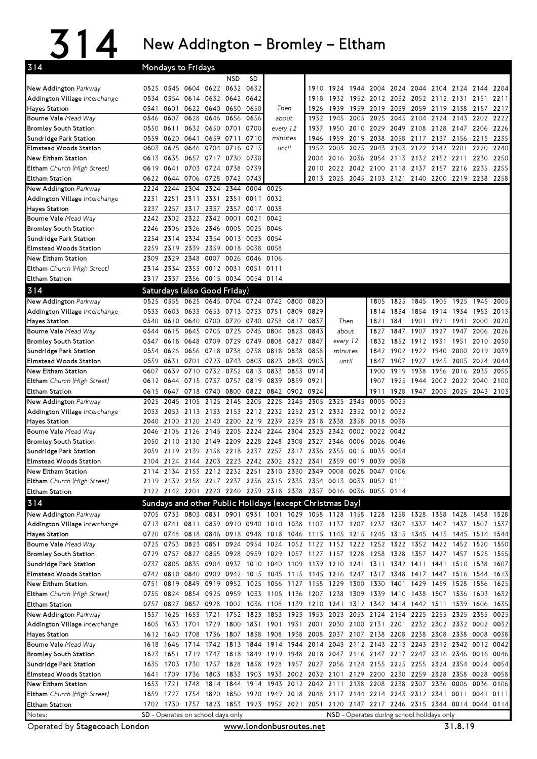## $314$  New Addington – Bromley – Eltham

| <b>NSD</b><br><b>SD</b><br>0525 0545 0604 0622 0632 0632<br>New Addington Parkway<br>1924 1944 2004 2024 2044 2104 2124 2144<br>1910<br>2204<br>0554 0614 0632 0642 0642<br>Addington Village Interchange<br>0534<br>1918<br>1932 1952 2012 2032 2052 2112 2131 2151<br>2211<br>0601 0622 0640 0650 0650<br>1939<br>1959 2019<br>2039 2059 2119 2138 2157<br>Hayes Station<br>0541<br>Then<br>1926<br>2217<br>0607 0628 0646 0656<br>2005 2025<br>2045 2104 2124 2143 2202<br>0656<br>1945<br>2222<br>Bourne Vale <i>Mead Way</i><br>0546<br>about<br>1932<br>0611 0632 0650 0701<br>0700<br>1950 2010 2029<br>2049 2108 2128 2147 2206<br>Bromley South Station<br>0550<br>every 12<br>1937<br>2226<br>0559<br>0620<br>0641<br>0659 0711<br>0710<br>1959<br>2019<br>2038<br>2058 2117 2137 2156 2215<br>2235<br>Sundridge Park Station<br>minutes<br>1946<br>0625<br>2103<br>2122 2142 2201<br>Elmstead Woods Station<br>0646<br>0704<br>0716 0715<br>until<br>2005<br>2025<br>2043<br>2220<br>2240<br>0603<br>1952<br>0635 0657 0717 0730 0730<br>2016 2036 2054 2113 2132 2152 2211 2230<br>New Eltham Station<br>0613<br>2004<br>2250<br>Eltham Church (High Street)<br>0703 0724<br>0738<br>0739<br>2022 2042 2100<br>2118 2137 2157 2216 2235<br>2255<br>0619 0641<br>2010<br>0622 0644 0706 0728<br>0742 0743<br>2013<br>2025 2045 2103 2121 2140 2200 2219 2238<br>2258<br>Eltham Station<br>New Addington Parkway<br>2244<br>2304 2324<br>2344<br>0004 0025<br>2224<br>2351<br>Addington Village Interchange<br>2231<br>2251<br>2311 2331<br>0011<br>0032<br>2257 2317 2337<br>2357<br>0017<br>0038<br>Hayes Station<br>2237<br>Bourne Vale Mead Way<br>2242 2302 2322 2342<br>0021<br>0042<br>0001<br>2246 2306 2326 2346 0005 0025<br>0046<br>Bromley South Station<br>2314 2334<br>2354<br>0013 0033<br>0054<br>Sundridge Park Station<br>2254<br>2359 0018 0038<br>Elmstead Woods Station<br>2259<br>2319<br>2339<br>0058<br>New Eltham Station<br>2329 2348<br>0007<br>0026<br>0046<br>2309<br>0106<br>2334 2353 0012 0031<br><b>Eltham</b> Church (High Street)<br>0051 0111<br>2314<br>2317 2337 2356 0015 0034 0054 0114<br>Eltham Station<br>314<br>Saturdays (also Good Friday)<br>0555 0625 0645 0704 0724 0742 0800 0820<br>New Addington Parkway<br>1825<br>1845 1905 1925 1945<br>2005<br>0525<br>1805<br>0533 0603 0633 0653 0713 0733 0751<br>0809 0829<br>1834<br>1854 1914 1934 1953<br>Addington Village Interchange<br>1814<br>2013<br>Hayes Station<br>0540<br>0610 0640<br>0700 0720 0740 0758 0817 0837<br>Then<br>1821<br>1841<br>1901 1921 1941 2000 2020<br>Bourne Vale Mead Way<br>0615<br>0645<br>0705 0725 0745<br>0804<br>0823 0843<br>1847 1907 1927 1947 2006<br>2026<br>0544<br>about<br>1827<br>0618 0648<br>0709<br>0729 0749<br>0808<br>0827<br>0847<br>1912 1931<br>1951<br>2010<br>2030<br>Bromley South Station<br>0547<br>every 12<br>1832<br>1852<br>0554 0626 0656<br>0718 0738 0758<br>0818 0838 0858<br>2000 2019<br>2039<br>Sundridge Park Station<br>minutes<br>1842<br>1902 1922 1940<br><b>Elmstead Woods Station</b><br>0631<br>0723<br>0743 0803<br>0823<br>0843 0903<br>until<br>1945<br>0559<br>0701<br>1847<br>1907 1927<br>2005<br>2024<br>2044<br>0710<br>0752<br>0813<br>1919<br>1956<br>2016<br>0639<br>0732<br>0833<br>0853<br>0914<br>1938<br>2035<br>2055<br>New Eltham Station<br>0607<br>1900<br>0612 0644 0715 0737 0757 0819 0839<br>0859 0921<br>1925 1944 2002 2022 2040 2100<br><b>Eltham</b> Church (High Street)<br>1907<br>0615 0647 0718 0740 0800 0822 0842 0902 0924<br>1911<br>1928 1947 2005 2025 2043 2103<br>Eltham Station<br>2245 2305<br>New Addington Parkway<br>2025<br>2045<br>2105<br>2125 2145 2205 2225<br>2325<br>2345<br>0005<br>0025<br>2053 2113 2133 2153 2212 2232 2252 2312 2332 2352 0012<br>Addington Village Interchange<br>2033<br>0032<br>2100 2120 2140 2200 2219 2239 2259 2318 2338 2358 0018<br>Hayes Station<br>2040<br>0038<br>2145 2205 2224 2244 2304 2323 2342 0002 0022<br>2106 2126<br>Bourne Vale Mead Way<br>2046<br>0042<br>2110 2130 2149 2209 2228 2248 2308 2327 2346 0006 0026<br>Bromley South Station<br>2050<br>0046<br>2059 2119 2139 2158 2218 2237 2257 2317 2336 2355 0015 0035<br>Sundridge Park Station<br>0054<br>2104 2124 2144 2203 2223 2242 2302 2322 2341 2359 0019 0039<br>0058<br>Elmstead Woods Station<br>New Eltham Station<br>2114 2134 2153 2212 2232 2251 2310 2330 2349 0008 0028 0047 0106<br>2119 2139 2158 2217 2237 2256 2315 2335 2354 0013 0033 0052 0111<br><b>Eltham</b> Church (High Street)<br>2122 2142 2201 2220 2240 2259 2318 2338 2357 0016 0036 0055 0114<br>Eltham Station<br>314<br>Sundays and other Public Holidays (except Christmas Day)<br>0705 0733 0803 0831 0901 0931 1001 1029 1058 1128 1158 1228 1258 1328 1358 1428 1458 1528<br>New Addington Parkway<br>0713 0741 0811 0839 0910 0940 1010 1038 1107 1137 1207 1237 1307 1337 1407 1437 1507 1537<br>Addington Village Interchange<br>0720 0748 0818 0846 0918 0948 1018 1046 1115 1145 1215 1245 1315 1345 1415 1445 1514 1544<br>Hayes Station<br>0725 0753 0823 0851<br>0924 0954 1024 1052 1122 1152 1222 1252 1322 1352 1422 1452 1520 1550<br>Bourne Vale <i>Mead Way</i><br>0729 0757 0827 0855 0928 0959 1029 1057 1127 1157 1228 1258 1328 1357 1427 1457 1525 1555<br>Bromley South Station<br>0737 0805 0835 0904 0937 1010 1040 1109 1139 1210 1241 1311 1342 1411 1441 1510 1538 1607<br>Sundridge Park Station<br>0742 0810 0840 0909 0942 1015 1045 1115 1145 1216 1247 1317 1348 1417 1447 1516 1544 1613<br>Elmstead Woods Station<br>0751 0819 0849 0919 0952 1025 1056 1127 1158 1229 1300 1330 1401 1429<br>1459 1528<br>New Eltham Station<br>1556<br>1625<br>0755 0824 0854 0925 0959 1033 1105 1136 1207 1238 1309 1339 1410 1438 1507 1536 1603 1632<br><b>Eltham</b> Church (High Street)<br>0757 0827 0857 0928 1002 1036 1108 1139 1210 1241 1312 1342 1414 1442 1511 1539 1606 1635<br>Eltham Station<br>New Addington Parkway<br>1752 1823 1853 1923 1953 2023 2053 2124 2154 2225 2255 2325<br>1557<br>1625<br>1653<br>1721<br>2355<br>0025<br>1605 1633 1701 1729 1800 1831 1901 1931 2001 2030 2100 2131 2201 2232 2302 2332 0002 0032<br>Addington Village Interchange<br>Hayes Station<br>1612 1640 1708<br>1736 1807 1838 1908 1938 2008 2037 2107 2138 2208 2238 2308 2338 0008 0038<br>1714 1742 1813 1844 1914 1944 2014 2043 2112 2143 2213 2243 2312 2342 0012 0042<br>Bourne Vale <i>Mead Way</i><br>1618 1646<br>1623 1651 1719 1747 1818 1849 1919 1948 2018 2047 2116 2147 2217 2247 2316 2346 0016 0046<br>Bromley South Station<br>1757 1828 1858 1928 1957 2027 2056 2124 2155 2225 2255 2324 2354 0024<br>Sundridge Park Station<br>1635 1703 1730<br>0054<br>1803 1833 1903 1933 2002 2032 2101 2129 2200 2230 2259 2328 2358 0028 0058<br>Elmstead Woods Station<br>1709 1736<br>1641<br>1721<br>1748<br>1814 1844 1914 1943 2012 2042 2111 2138 2208 2238 2307 2336<br>0006 0036 0106<br>New Eltham Station<br>1653<br>1659 1727 1754 1820 1850 1920 1949 2018 2048 2117 2144 2214 2243 2312 2341 0011 0041 0111<br><b>Eltham</b> Church (High Street)<br>Eltham Station<br>1702 1730 1757 1823 1853 1923 1952 2021 2051 2120 2147 2217 2246 2315 2344 0014 0044 0114<br>NSD - Operates during school holidays only<br>SD - Operates on school days only | 314    | Mondays to Fridays |  |  |  |  |  |  |  |  |  |  |  |  |  |
|--------------------------------------------------------------------------------------------------------------------------------------------------------------------------------------------------------------------------------------------------------------------------------------------------------------------------------------------------------------------------------------------------------------------------------------------------------------------------------------------------------------------------------------------------------------------------------------------------------------------------------------------------------------------------------------------------------------------------------------------------------------------------------------------------------------------------------------------------------------------------------------------------------------------------------------------------------------------------------------------------------------------------------------------------------------------------------------------------------------------------------------------------------------------------------------------------------------------------------------------------------------------------------------------------------------------------------------------------------------------------------------------------------------------------------------------------------------------------------------------------------------------------------------------------------------------------------------------------------------------------------------------------------------------------------------------------------------------------------------------------------------------------------------------------------------------------------------------------------------------------------------------------------------------------------------------------------------------------------------------------------------------------------------------------------------------------------------------------------------------------------------------------------------------------------------------------------------------------------------------------------------------------------------------------------------------------------------------------------------------------------------------------------------------------------------------------------------------------------------------------------------------------------------------------------------------------------------------------------------------------------------------------------------------------------------------------------------------------------------------------------------------------------------------------------------------------------------------------------------------------------------------------------------------------------------------------------------------------------------------------------------------------------------------------------------------------------------------------------------------------------------------------------------------------------------------------------------------------------------------------------------------------------------------------------------------------------------------------------------------------------------------------------------------------------------------------------------------------------------------------------------------------------------------------------------------------------------------------------------------------------------------------------------------------------------------------------------------------------------------------------------------------------------------------------------------------------------------------------------------------------------------------------------------------------------------------------------------------------------------------------------------------------------------------------------------------------------------------------------------------------------------------------------------------------------------------------------------------------------------------------------------------------------------------------------------------------------------------------------------------------------------------------------------------------------------------------------------------------------------------------------------------------------------------------------------------------------------------------------------------------------------------------------------------------------------------------------------------------------------------------------------------------------------------------------------------------------------------------------------------------------------------------------------------------------------------------------------------------------------------------------------------------------------------------------------------------------------------------------------------------------------------------------------------------------------------------------------------------------------------------------------------------------------------------------------------------------------------------------------------------------------------------------------------------------------------------------------------------------------------------------------------------------------------------------------------------------------------------------------------------------------------------------------------------------------------------------------------------------------------------------------------------------------------------------------------------------------------------------------------------------------------------------------------------------------------------------------------------------------------------------------------------------------------------------------------------------------------------------------------------------------------------------------------------------------------------------------------------------------------------------------------------------------------------------------------------------------------------------------------------------------------------------------------------------------------------------------------------------------------------------------------------------------------------------------------------------------------------------------------------------------------------------------------------------------------------------------------------------------------------------------------------------------------------------------------------------------------------------------------------------------------------------------------------------------------------------------------------------------------------------------------------------------------------------------------------------------------------------------------------------------------------------------------------------------------------------------------------------------------------------------------------------------------------------------------------------------------|--------|--------------------|--|--|--|--|--|--|--|--|--|--|--|--|--|
|                                                                                                                                                                                                                                                                                                                                                                                                                                                                                                                                                                                                                                                                                                                                                                                                                                                                                                                                                                                                                                                                                                                                                                                                                                                                                                                                                                                                                                                                                                                                                                                                                                                                                                                                                                                                                                                                                                                                                                                                                                                                                                                                                                                                                                                                                                                                                                                                                                                                                                                                                                                                                                                                                                                                                                                                                                                                                                                                                                                                                                                                                                                                                                                                                                                                                                                                                                                                                                                                                                                                                                                                                                                                                                                                                                                                                                                                                                                                                                                                                                                                                                                                                                                                                                                                                                                                                                                                                                                                                                                                                                                                                                                                                                                                                                                                                                                                                                                                                                                                                                                                                                                                                                                                                                                                                                                                                                                                                                                                                                                                                                                                                                                                                                                                                                                                                                                                                                                                                                                                                                                                                                                                                                                                                                                                                                                                                                                                                                                                                                                                                                                                                                                                                                                                                                                                                                                                                                                                                                                                                                                                                                                                                                                                                                                                                                                                                  |        |                    |  |  |  |  |  |  |  |  |  |  |  |  |  |
|                                                                                                                                                                                                                                                                                                                                                                                                                                                                                                                                                                                                                                                                                                                                                                                                                                                                                                                                                                                                                                                                                                                                                                                                                                                                                                                                                                                                                                                                                                                                                                                                                                                                                                                                                                                                                                                                                                                                                                                                                                                                                                                                                                                                                                                                                                                                                                                                                                                                                                                                                                                                                                                                                                                                                                                                                                                                                                                                                                                                                                                                                                                                                                                                                                                                                                                                                                                                                                                                                                                                                                                                                                                                                                                                                                                                                                                                                                                                                                                                                                                                                                                                                                                                                                                                                                                                                                                                                                                                                                                                                                                                                                                                                                                                                                                                                                                                                                                                                                                                                                                                                                                                                                                                                                                                                                                                                                                                                                                                                                                                                                                                                                                                                                                                                                                                                                                                                                                                                                                                                                                                                                                                                                                                                                                                                                                                                                                                                                                                                                                                                                                                                                                                                                                                                                                                                                                                                                                                                                                                                                                                                                                                                                                                                                                                                                                                                  |        |                    |  |  |  |  |  |  |  |  |  |  |  |  |  |
|                                                                                                                                                                                                                                                                                                                                                                                                                                                                                                                                                                                                                                                                                                                                                                                                                                                                                                                                                                                                                                                                                                                                                                                                                                                                                                                                                                                                                                                                                                                                                                                                                                                                                                                                                                                                                                                                                                                                                                                                                                                                                                                                                                                                                                                                                                                                                                                                                                                                                                                                                                                                                                                                                                                                                                                                                                                                                                                                                                                                                                                                                                                                                                                                                                                                                                                                                                                                                                                                                                                                                                                                                                                                                                                                                                                                                                                                                                                                                                                                                                                                                                                                                                                                                                                                                                                                                                                                                                                                                                                                                                                                                                                                                                                                                                                                                                                                                                                                                                                                                                                                                                                                                                                                                                                                                                                                                                                                                                                                                                                                                                                                                                                                                                                                                                                                                                                                                                                                                                                                                                                                                                                                                                                                                                                                                                                                                                                                                                                                                                                                                                                                                                                                                                                                                                                                                                                                                                                                                                                                                                                                                                                                                                                                                                                                                                                                                  |        |                    |  |  |  |  |  |  |  |  |  |  |  |  |  |
|                                                                                                                                                                                                                                                                                                                                                                                                                                                                                                                                                                                                                                                                                                                                                                                                                                                                                                                                                                                                                                                                                                                                                                                                                                                                                                                                                                                                                                                                                                                                                                                                                                                                                                                                                                                                                                                                                                                                                                                                                                                                                                                                                                                                                                                                                                                                                                                                                                                                                                                                                                                                                                                                                                                                                                                                                                                                                                                                                                                                                                                                                                                                                                                                                                                                                                                                                                                                                                                                                                                                                                                                                                                                                                                                                                                                                                                                                                                                                                                                                                                                                                                                                                                                                                                                                                                                                                                                                                                                                                                                                                                                                                                                                                                                                                                                                                                                                                                                                                                                                                                                                                                                                                                                                                                                                                                                                                                                                                                                                                                                                                                                                                                                                                                                                                                                                                                                                                                                                                                                                                                                                                                                                                                                                                                                                                                                                                                                                                                                                                                                                                                                                                                                                                                                                                                                                                                                                                                                                                                                                                                                                                                                                                                                                                                                                                                                                  |        |                    |  |  |  |  |  |  |  |  |  |  |  |  |  |
|                                                                                                                                                                                                                                                                                                                                                                                                                                                                                                                                                                                                                                                                                                                                                                                                                                                                                                                                                                                                                                                                                                                                                                                                                                                                                                                                                                                                                                                                                                                                                                                                                                                                                                                                                                                                                                                                                                                                                                                                                                                                                                                                                                                                                                                                                                                                                                                                                                                                                                                                                                                                                                                                                                                                                                                                                                                                                                                                                                                                                                                                                                                                                                                                                                                                                                                                                                                                                                                                                                                                                                                                                                                                                                                                                                                                                                                                                                                                                                                                                                                                                                                                                                                                                                                                                                                                                                                                                                                                                                                                                                                                                                                                                                                                                                                                                                                                                                                                                                                                                                                                                                                                                                                                                                                                                                                                                                                                                                                                                                                                                                                                                                                                                                                                                                                                                                                                                                                                                                                                                                                                                                                                                                                                                                                                                                                                                                                                                                                                                                                                                                                                                                                                                                                                                                                                                                                                                                                                                                                                                                                                                                                                                                                                                                                                                                                                                  |        |                    |  |  |  |  |  |  |  |  |  |  |  |  |  |
|                                                                                                                                                                                                                                                                                                                                                                                                                                                                                                                                                                                                                                                                                                                                                                                                                                                                                                                                                                                                                                                                                                                                                                                                                                                                                                                                                                                                                                                                                                                                                                                                                                                                                                                                                                                                                                                                                                                                                                                                                                                                                                                                                                                                                                                                                                                                                                                                                                                                                                                                                                                                                                                                                                                                                                                                                                                                                                                                                                                                                                                                                                                                                                                                                                                                                                                                                                                                                                                                                                                                                                                                                                                                                                                                                                                                                                                                                                                                                                                                                                                                                                                                                                                                                                                                                                                                                                                                                                                                                                                                                                                                                                                                                                                                                                                                                                                                                                                                                                                                                                                                                                                                                                                                                                                                                                                                                                                                                                                                                                                                                                                                                                                                                                                                                                                                                                                                                                                                                                                                                                                                                                                                                                                                                                                                                                                                                                                                                                                                                                                                                                                                                                                                                                                                                                                                                                                                                                                                                                                                                                                                                                                                                                                                                                                                                                                                                  |        |                    |  |  |  |  |  |  |  |  |  |  |  |  |  |
|                                                                                                                                                                                                                                                                                                                                                                                                                                                                                                                                                                                                                                                                                                                                                                                                                                                                                                                                                                                                                                                                                                                                                                                                                                                                                                                                                                                                                                                                                                                                                                                                                                                                                                                                                                                                                                                                                                                                                                                                                                                                                                                                                                                                                                                                                                                                                                                                                                                                                                                                                                                                                                                                                                                                                                                                                                                                                                                                                                                                                                                                                                                                                                                                                                                                                                                                                                                                                                                                                                                                                                                                                                                                                                                                                                                                                                                                                                                                                                                                                                                                                                                                                                                                                                                                                                                                                                                                                                                                                                                                                                                                                                                                                                                                                                                                                                                                                                                                                                                                                                                                                                                                                                                                                                                                                                                                                                                                                                                                                                                                                                                                                                                                                                                                                                                                                                                                                                                                                                                                                                                                                                                                                                                                                                                                                                                                                                                                                                                                                                                                                                                                                                                                                                                                                                                                                                                                                                                                                                                                                                                                                                                                                                                                                                                                                                                                                  |        |                    |  |  |  |  |  |  |  |  |  |  |  |  |  |
|                                                                                                                                                                                                                                                                                                                                                                                                                                                                                                                                                                                                                                                                                                                                                                                                                                                                                                                                                                                                                                                                                                                                                                                                                                                                                                                                                                                                                                                                                                                                                                                                                                                                                                                                                                                                                                                                                                                                                                                                                                                                                                                                                                                                                                                                                                                                                                                                                                                                                                                                                                                                                                                                                                                                                                                                                                                                                                                                                                                                                                                                                                                                                                                                                                                                                                                                                                                                                                                                                                                                                                                                                                                                                                                                                                                                                                                                                                                                                                                                                                                                                                                                                                                                                                                                                                                                                                                                                                                                                                                                                                                                                                                                                                                                                                                                                                                                                                                                                                                                                                                                                                                                                                                                                                                                                                                                                                                                                                                                                                                                                                                                                                                                                                                                                                                                                                                                                                                                                                                                                                                                                                                                                                                                                                                                                                                                                                                                                                                                                                                                                                                                                                                                                                                                                                                                                                                                                                                                                                                                                                                                                                                                                                                                                                                                                                                                                  |        |                    |  |  |  |  |  |  |  |  |  |  |  |  |  |
|                                                                                                                                                                                                                                                                                                                                                                                                                                                                                                                                                                                                                                                                                                                                                                                                                                                                                                                                                                                                                                                                                                                                                                                                                                                                                                                                                                                                                                                                                                                                                                                                                                                                                                                                                                                                                                                                                                                                                                                                                                                                                                                                                                                                                                                                                                                                                                                                                                                                                                                                                                                                                                                                                                                                                                                                                                                                                                                                                                                                                                                                                                                                                                                                                                                                                                                                                                                                                                                                                                                                                                                                                                                                                                                                                                                                                                                                                                                                                                                                                                                                                                                                                                                                                                                                                                                                                                                                                                                                                                                                                                                                                                                                                                                                                                                                                                                                                                                                                                                                                                                                                                                                                                                                                                                                                                                                                                                                                                                                                                                                                                                                                                                                                                                                                                                                                                                                                                                                                                                                                                                                                                                                                                                                                                                                                                                                                                                                                                                                                                                                                                                                                                                                                                                                                                                                                                                                                                                                                                                                                                                                                                                                                                                                                                                                                                                                                  |        |                    |  |  |  |  |  |  |  |  |  |  |  |  |  |
|                                                                                                                                                                                                                                                                                                                                                                                                                                                                                                                                                                                                                                                                                                                                                                                                                                                                                                                                                                                                                                                                                                                                                                                                                                                                                                                                                                                                                                                                                                                                                                                                                                                                                                                                                                                                                                                                                                                                                                                                                                                                                                                                                                                                                                                                                                                                                                                                                                                                                                                                                                                                                                                                                                                                                                                                                                                                                                                                                                                                                                                                                                                                                                                                                                                                                                                                                                                                                                                                                                                                                                                                                                                                                                                                                                                                                                                                                                                                                                                                                                                                                                                                                                                                                                                                                                                                                                                                                                                                                                                                                                                                                                                                                                                                                                                                                                                                                                                                                                                                                                                                                                                                                                                                                                                                                                                                                                                                                                                                                                                                                                                                                                                                                                                                                                                                                                                                                                                                                                                                                                                                                                                                                                                                                                                                                                                                                                                                                                                                                                                                                                                                                                                                                                                                                                                                                                                                                                                                                                                                                                                                                                                                                                                                                                                                                                                                                  |        |                    |  |  |  |  |  |  |  |  |  |  |  |  |  |
|                                                                                                                                                                                                                                                                                                                                                                                                                                                                                                                                                                                                                                                                                                                                                                                                                                                                                                                                                                                                                                                                                                                                                                                                                                                                                                                                                                                                                                                                                                                                                                                                                                                                                                                                                                                                                                                                                                                                                                                                                                                                                                                                                                                                                                                                                                                                                                                                                                                                                                                                                                                                                                                                                                                                                                                                                                                                                                                                                                                                                                                                                                                                                                                                                                                                                                                                                                                                                                                                                                                                                                                                                                                                                                                                                                                                                                                                                                                                                                                                                                                                                                                                                                                                                                                                                                                                                                                                                                                                                                                                                                                                                                                                                                                                                                                                                                                                                                                                                                                                                                                                                                                                                                                                                                                                                                                                                                                                                                                                                                                                                                                                                                                                                                                                                                                                                                                                                                                                                                                                                                                                                                                                                                                                                                                                                                                                                                                                                                                                                                                                                                                                                                                                                                                                                                                                                                                                                                                                                                                                                                                                                                                                                                                                                                                                                                                                                  |        |                    |  |  |  |  |  |  |  |  |  |  |  |  |  |
|                                                                                                                                                                                                                                                                                                                                                                                                                                                                                                                                                                                                                                                                                                                                                                                                                                                                                                                                                                                                                                                                                                                                                                                                                                                                                                                                                                                                                                                                                                                                                                                                                                                                                                                                                                                                                                                                                                                                                                                                                                                                                                                                                                                                                                                                                                                                                                                                                                                                                                                                                                                                                                                                                                                                                                                                                                                                                                                                                                                                                                                                                                                                                                                                                                                                                                                                                                                                                                                                                                                                                                                                                                                                                                                                                                                                                                                                                                                                                                                                                                                                                                                                                                                                                                                                                                                                                                                                                                                                                                                                                                                                                                                                                                                                                                                                                                                                                                                                                                                                                                                                                                                                                                                                                                                                                                                                                                                                                                                                                                                                                                                                                                                                                                                                                                                                                                                                                                                                                                                                                                                                                                                                                                                                                                                                                                                                                                                                                                                                                                                                                                                                                                                                                                                                                                                                                                                                                                                                                                                                                                                                                                                                                                                                                                                                                                                                                  |        |                    |  |  |  |  |  |  |  |  |  |  |  |  |  |
|                                                                                                                                                                                                                                                                                                                                                                                                                                                                                                                                                                                                                                                                                                                                                                                                                                                                                                                                                                                                                                                                                                                                                                                                                                                                                                                                                                                                                                                                                                                                                                                                                                                                                                                                                                                                                                                                                                                                                                                                                                                                                                                                                                                                                                                                                                                                                                                                                                                                                                                                                                                                                                                                                                                                                                                                                                                                                                                                                                                                                                                                                                                                                                                                                                                                                                                                                                                                                                                                                                                                                                                                                                                                                                                                                                                                                                                                                                                                                                                                                                                                                                                                                                                                                                                                                                                                                                                                                                                                                                                                                                                                                                                                                                                                                                                                                                                                                                                                                                                                                                                                                                                                                                                                                                                                                                                                                                                                                                                                                                                                                                                                                                                                                                                                                                                                                                                                                                                                                                                                                                                                                                                                                                                                                                                                                                                                                                                                                                                                                                                                                                                                                                                                                                                                                                                                                                                                                                                                                                                                                                                                                                                                                                                                                                                                                                                                                  |        |                    |  |  |  |  |  |  |  |  |  |  |  |  |  |
|                                                                                                                                                                                                                                                                                                                                                                                                                                                                                                                                                                                                                                                                                                                                                                                                                                                                                                                                                                                                                                                                                                                                                                                                                                                                                                                                                                                                                                                                                                                                                                                                                                                                                                                                                                                                                                                                                                                                                                                                                                                                                                                                                                                                                                                                                                                                                                                                                                                                                                                                                                                                                                                                                                                                                                                                                                                                                                                                                                                                                                                                                                                                                                                                                                                                                                                                                                                                                                                                                                                                                                                                                                                                                                                                                                                                                                                                                                                                                                                                                                                                                                                                                                                                                                                                                                                                                                                                                                                                                                                                                                                                                                                                                                                                                                                                                                                                                                                                                                                                                                                                                                                                                                                                                                                                                                                                                                                                                                                                                                                                                                                                                                                                                                                                                                                                                                                                                                                                                                                                                                                                                                                                                                                                                                                                                                                                                                                                                                                                                                                                                                                                                                                                                                                                                                                                                                                                                                                                                                                                                                                                                                                                                                                                                                                                                                                                                  |        |                    |  |  |  |  |  |  |  |  |  |  |  |  |  |
|                                                                                                                                                                                                                                                                                                                                                                                                                                                                                                                                                                                                                                                                                                                                                                                                                                                                                                                                                                                                                                                                                                                                                                                                                                                                                                                                                                                                                                                                                                                                                                                                                                                                                                                                                                                                                                                                                                                                                                                                                                                                                                                                                                                                                                                                                                                                                                                                                                                                                                                                                                                                                                                                                                                                                                                                                                                                                                                                                                                                                                                                                                                                                                                                                                                                                                                                                                                                                                                                                                                                                                                                                                                                                                                                                                                                                                                                                                                                                                                                                                                                                                                                                                                                                                                                                                                                                                                                                                                                                                                                                                                                                                                                                                                                                                                                                                                                                                                                                                                                                                                                                                                                                                                                                                                                                                                                                                                                                                                                                                                                                                                                                                                                                                                                                                                                                                                                                                                                                                                                                                                                                                                                                                                                                                                                                                                                                                                                                                                                                                                                                                                                                                                                                                                                                                                                                                                                                                                                                                                                                                                                                                                                                                                                                                                                                                                                                  |        |                    |  |  |  |  |  |  |  |  |  |  |  |  |  |
|                                                                                                                                                                                                                                                                                                                                                                                                                                                                                                                                                                                                                                                                                                                                                                                                                                                                                                                                                                                                                                                                                                                                                                                                                                                                                                                                                                                                                                                                                                                                                                                                                                                                                                                                                                                                                                                                                                                                                                                                                                                                                                                                                                                                                                                                                                                                                                                                                                                                                                                                                                                                                                                                                                                                                                                                                                                                                                                                                                                                                                                                                                                                                                                                                                                                                                                                                                                                                                                                                                                                                                                                                                                                                                                                                                                                                                                                                                                                                                                                                                                                                                                                                                                                                                                                                                                                                                                                                                                                                                                                                                                                                                                                                                                                                                                                                                                                                                                                                                                                                                                                                                                                                                                                                                                                                                                                                                                                                                                                                                                                                                                                                                                                                                                                                                                                                                                                                                                                                                                                                                                                                                                                                                                                                                                                                                                                                                                                                                                                                                                                                                                                                                                                                                                                                                                                                                                                                                                                                                                                                                                                                                                                                                                                                                                                                                                                                  |        |                    |  |  |  |  |  |  |  |  |  |  |  |  |  |
|                                                                                                                                                                                                                                                                                                                                                                                                                                                                                                                                                                                                                                                                                                                                                                                                                                                                                                                                                                                                                                                                                                                                                                                                                                                                                                                                                                                                                                                                                                                                                                                                                                                                                                                                                                                                                                                                                                                                                                                                                                                                                                                                                                                                                                                                                                                                                                                                                                                                                                                                                                                                                                                                                                                                                                                                                                                                                                                                                                                                                                                                                                                                                                                                                                                                                                                                                                                                                                                                                                                                                                                                                                                                                                                                                                                                                                                                                                                                                                                                                                                                                                                                                                                                                                                                                                                                                                                                                                                                                                                                                                                                                                                                                                                                                                                                                                                                                                                                                                                                                                                                                                                                                                                                                                                                                                                                                                                                                                                                                                                                                                                                                                                                                                                                                                                                                                                                                                                                                                                                                                                                                                                                                                                                                                                                                                                                                                                                                                                                                                                                                                                                                                                                                                                                                                                                                                                                                                                                                                                                                                                                                                                                                                                                                                                                                                                                                  |        |                    |  |  |  |  |  |  |  |  |  |  |  |  |  |
|                                                                                                                                                                                                                                                                                                                                                                                                                                                                                                                                                                                                                                                                                                                                                                                                                                                                                                                                                                                                                                                                                                                                                                                                                                                                                                                                                                                                                                                                                                                                                                                                                                                                                                                                                                                                                                                                                                                                                                                                                                                                                                                                                                                                                                                                                                                                                                                                                                                                                                                                                                                                                                                                                                                                                                                                                                                                                                                                                                                                                                                                                                                                                                                                                                                                                                                                                                                                                                                                                                                                                                                                                                                                                                                                                                                                                                                                                                                                                                                                                                                                                                                                                                                                                                                                                                                                                                                                                                                                                                                                                                                                                                                                                                                                                                                                                                                                                                                                                                                                                                                                                                                                                                                                                                                                                                                                                                                                                                                                                                                                                                                                                                                                                                                                                                                                                                                                                                                                                                                                                                                                                                                                                                                                                                                                                                                                                                                                                                                                                                                                                                                                                                                                                                                                                                                                                                                                                                                                                                                                                                                                                                                                                                                                                                                                                                                                                  |        |                    |  |  |  |  |  |  |  |  |  |  |  |  |  |
|                                                                                                                                                                                                                                                                                                                                                                                                                                                                                                                                                                                                                                                                                                                                                                                                                                                                                                                                                                                                                                                                                                                                                                                                                                                                                                                                                                                                                                                                                                                                                                                                                                                                                                                                                                                                                                                                                                                                                                                                                                                                                                                                                                                                                                                                                                                                                                                                                                                                                                                                                                                                                                                                                                                                                                                                                                                                                                                                                                                                                                                                                                                                                                                                                                                                                                                                                                                                                                                                                                                                                                                                                                                                                                                                                                                                                                                                                                                                                                                                                                                                                                                                                                                                                                                                                                                                                                                                                                                                                                                                                                                                                                                                                                                                                                                                                                                                                                                                                                                                                                                                                                                                                                                                                                                                                                                                                                                                                                                                                                                                                                                                                                                                                                                                                                                                                                                                                                                                                                                                                                                                                                                                                                                                                                                                                                                                                                                                                                                                                                                                                                                                                                                                                                                                                                                                                                                                                                                                                                                                                                                                                                                                                                                                                                                                                                                                                  |        |                    |  |  |  |  |  |  |  |  |  |  |  |  |  |
|                                                                                                                                                                                                                                                                                                                                                                                                                                                                                                                                                                                                                                                                                                                                                                                                                                                                                                                                                                                                                                                                                                                                                                                                                                                                                                                                                                                                                                                                                                                                                                                                                                                                                                                                                                                                                                                                                                                                                                                                                                                                                                                                                                                                                                                                                                                                                                                                                                                                                                                                                                                                                                                                                                                                                                                                                                                                                                                                                                                                                                                                                                                                                                                                                                                                                                                                                                                                                                                                                                                                                                                                                                                                                                                                                                                                                                                                                                                                                                                                                                                                                                                                                                                                                                                                                                                                                                                                                                                                                                                                                                                                                                                                                                                                                                                                                                                                                                                                                                                                                                                                                                                                                                                                                                                                                                                                                                                                                                                                                                                                                                                                                                                                                                                                                                                                                                                                                                                                                                                                                                                                                                                                                                                                                                                                                                                                                                                                                                                                                                                                                                                                                                                                                                                                                                                                                                                                                                                                                                                                                                                                                                                                                                                                                                                                                                                                                  |        |                    |  |  |  |  |  |  |  |  |  |  |  |  |  |
|                                                                                                                                                                                                                                                                                                                                                                                                                                                                                                                                                                                                                                                                                                                                                                                                                                                                                                                                                                                                                                                                                                                                                                                                                                                                                                                                                                                                                                                                                                                                                                                                                                                                                                                                                                                                                                                                                                                                                                                                                                                                                                                                                                                                                                                                                                                                                                                                                                                                                                                                                                                                                                                                                                                                                                                                                                                                                                                                                                                                                                                                                                                                                                                                                                                                                                                                                                                                                                                                                                                                                                                                                                                                                                                                                                                                                                                                                                                                                                                                                                                                                                                                                                                                                                                                                                                                                                                                                                                                                                                                                                                                                                                                                                                                                                                                                                                                                                                                                                                                                                                                                                                                                                                                                                                                                                                                                                                                                                                                                                                                                                                                                                                                                                                                                                                                                                                                                                                                                                                                                                                                                                                                                                                                                                                                                                                                                                                                                                                                                                                                                                                                                                                                                                                                                                                                                                                                                                                                                                                                                                                                                                                                                                                                                                                                                                                                                  |        |                    |  |  |  |  |  |  |  |  |  |  |  |  |  |
|                                                                                                                                                                                                                                                                                                                                                                                                                                                                                                                                                                                                                                                                                                                                                                                                                                                                                                                                                                                                                                                                                                                                                                                                                                                                                                                                                                                                                                                                                                                                                                                                                                                                                                                                                                                                                                                                                                                                                                                                                                                                                                                                                                                                                                                                                                                                                                                                                                                                                                                                                                                                                                                                                                                                                                                                                                                                                                                                                                                                                                                                                                                                                                                                                                                                                                                                                                                                                                                                                                                                                                                                                                                                                                                                                                                                                                                                                                                                                                                                                                                                                                                                                                                                                                                                                                                                                                                                                                                                                                                                                                                                                                                                                                                                                                                                                                                                                                                                                                                                                                                                                                                                                                                                                                                                                                                                                                                                                                                                                                                                                                                                                                                                                                                                                                                                                                                                                                                                                                                                                                                                                                                                                                                                                                                                                                                                                                                                                                                                                                                                                                                                                                                                                                                                                                                                                                                                                                                                                                                                                                                                                                                                                                                                                                                                                                                                                  |        |                    |  |  |  |  |  |  |  |  |  |  |  |  |  |
|                                                                                                                                                                                                                                                                                                                                                                                                                                                                                                                                                                                                                                                                                                                                                                                                                                                                                                                                                                                                                                                                                                                                                                                                                                                                                                                                                                                                                                                                                                                                                                                                                                                                                                                                                                                                                                                                                                                                                                                                                                                                                                                                                                                                                                                                                                                                                                                                                                                                                                                                                                                                                                                                                                                                                                                                                                                                                                                                                                                                                                                                                                                                                                                                                                                                                                                                                                                                                                                                                                                                                                                                                                                                                                                                                                                                                                                                                                                                                                                                                                                                                                                                                                                                                                                                                                                                                                                                                                                                                                                                                                                                                                                                                                                                                                                                                                                                                                                                                                                                                                                                                                                                                                                                                                                                                                                                                                                                                                                                                                                                                                                                                                                                                                                                                                                                                                                                                                                                                                                                                                                                                                                                                                                                                                                                                                                                                                                                                                                                                                                                                                                                                                                                                                                                                                                                                                                                                                                                                                                                                                                                                                                                                                                                                                                                                                                                                  |        |                    |  |  |  |  |  |  |  |  |  |  |  |  |  |
|                                                                                                                                                                                                                                                                                                                                                                                                                                                                                                                                                                                                                                                                                                                                                                                                                                                                                                                                                                                                                                                                                                                                                                                                                                                                                                                                                                                                                                                                                                                                                                                                                                                                                                                                                                                                                                                                                                                                                                                                                                                                                                                                                                                                                                                                                                                                                                                                                                                                                                                                                                                                                                                                                                                                                                                                                                                                                                                                                                                                                                                                                                                                                                                                                                                                                                                                                                                                                                                                                                                                                                                                                                                                                                                                                                                                                                                                                                                                                                                                                                                                                                                                                                                                                                                                                                                                                                                                                                                                                                                                                                                                                                                                                                                                                                                                                                                                                                                                                                                                                                                                                                                                                                                                                                                                                                                                                                                                                                                                                                                                                                                                                                                                                                                                                                                                                                                                                                                                                                                                                                                                                                                                                                                                                                                                                                                                                                                                                                                                                                                                                                                                                                                                                                                                                                                                                                                                                                                                                                                                                                                                                                                                                                                                                                                                                                                                                  |        |                    |  |  |  |  |  |  |  |  |  |  |  |  |  |
|                                                                                                                                                                                                                                                                                                                                                                                                                                                                                                                                                                                                                                                                                                                                                                                                                                                                                                                                                                                                                                                                                                                                                                                                                                                                                                                                                                                                                                                                                                                                                                                                                                                                                                                                                                                                                                                                                                                                                                                                                                                                                                                                                                                                                                                                                                                                                                                                                                                                                                                                                                                                                                                                                                                                                                                                                                                                                                                                                                                                                                                                                                                                                                                                                                                                                                                                                                                                                                                                                                                                                                                                                                                                                                                                                                                                                                                                                                                                                                                                                                                                                                                                                                                                                                                                                                                                                                                                                                                                                                                                                                                                                                                                                                                                                                                                                                                                                                                                                                                                                                                                                                                                                                                                                                                                                                                                                                                                                                                                                                                                                                                                                                                                                                                                                                                                                                                                                                                                                                                                                                                                                                                                                                                                                                                                                                                                                                                                                                                                                                                                                                                                                                                                                                                                                                                                                                                                                                                                                                                                                                                                                                                                                                                                                                                                                                                                                  |        |                    |  |  |  |  |  |  |  |  |  |  |  |  |  |
|                                                                                                                                                                                                                                                                                                                                                                                                                                                                                                                                                                                                                                                                                                                                                                                                                                                                                                                                                                                                                                                                                                                                                                                                                                                                                                                                                                                                                                                                                                                                                                                                                                                                                                                                                                                                                                                                                                                                                                                                                                                                                                                                                                                                                                                                                                                                                                                                                                                                                                                                                                                                                                                                                                                                                                                                                                                                                                                                                                                                                                                                                                                                                                                                                                                                                                                                                                                                                                                                                                                                                                                                                                                                                                                                                                                                                                                                                                                                                                                                                                                                                                                                                                                                                                                                                                                                                                                                                                                                                                                                                                                                                                                                                                                                                                                                                                                                                                                                                                                                                                                                                                                                                                                                                                                                                                                                                                                                                                                                                                                                                                                                                                                                                                                                                                                                                                                                                                                                                                                                                                                                                                                                                                                                                                                                                                                                                                                                                                                                                                                                                                                                                                                                                                                                                                                                                                                                                                                                                                                                                                                                                                                                                                                                                                                                                                                                                  |        |                    |  |  |  |  |  |  |  |  |  |  |  |  |  |
|                                                                                                                                                                                                                                                                                                                                                                                                                                                                                                                                                                                                                                                                                                                                                                                                                                                                                                                                                                                                                                                                                                                                                                                                                                                                                                                                                                                                                                                                                                                                                                                                                                                                                                                                                                                                                                                                                                                                                                                                                                                                                                                                                                                                                                                                                                                                                                                                                                                                                                                                                                                                                                                                                                                                                                                                                                                                                                                                                                                                                                                                                                                                                                                                                                                                                                                                                                                                                                                                                                                                                                                                                                                                                                                                                                                                                                                                                                                                                                                                                                                                                                                                                                                                                                                                                                                                                                                                                                                                                                                                                                                                                                                                                                                                                                                                                                                                                                                                                                                                                                                                                                                                                                                                                                                                                                                                                                                                                                                                                                                                                                                                                                                                                                                                                                                                                                                                                                                                                                                                                                                                                                                                                                                                                                                                                                                                                                                                                                                                                                                                                                                                                                                                                                                                                                                                                                                                                                                                                                                                                                                                                                                                                                                                                                                                                                                                                  |        |                    |  |  |  |  |  |  |  |  |  |  |  |  |  |
|                                                                                                                                                                                                                                                                                                                                                                                                                                                                                                                                                                                                                                                                                                                                                                                                                                                                                                                                                                                                                                                                                                                                                                                                                                                                                                                                                                                                                                                                                                                                                                                                                                                                                                                                                                                                                                                                                                                                                                                                                                                                                                                                                                                                                                                                                                                                                                                                                                                                                                                                                                                                                                                                                                                                                                                                                                                                                                                                                                                                                                                                                                                                                                                                                                                                                                                                                                                                                                                                                                                                                                                                                                                                                                                                                                                                                                                                                                                                                                                                                                                                                                                                                                                                                                                                                                                                                                                                                                                                                                                                                                                                                                                                                                                                                                                                                                                                                                                                                                                                                                                                                                                                                                                                                                                                                                                                                                                                                                                                                                                                                                                                                                                                                                                                                                                                                                                                                                                                                                                                                                                                                                                                                                                                                                                                                                                                                                                                                                                                                                                                                                                                                                                                                                                                                                                                                                                                                                                                                                                                                                                                                                                                                                                                                                                                                                                                                  |        |                    |  |  |  |  |  |  |  |  |  |  |  |  |  |
|                                                                                                                                                                                                                                                                                                                                                                                                                                                                                                                                                                                                                                                                                                                                                                                                                                                                                                                                                                                                                                                                                                                                                                                                                                                                                                                                                                                                                                                                                                                                                                                                                                                                                                                                                                                                                                                                                                                                                                                                                                                                                                                                                                                                                                                                                                                                                                                                                                                                                                                                                                                                                                                                                                                                                                                                                                                                                                                                                                                                                                                                                                                                                                                                                                                                                                                                                                                                                                                                                                                                                                                                                                                                                                                                                                                                                                                                                                                                                                                                                                                                                                                                                                                                                                                                                                                                                                                                                                                                                                                                                                                                                                                                                                                                                                                                                                                                                                                                                                                                                                                                                                                                                                                                                                                                                                                                                                                                                                                                                                                                                                                                                                                                                                                                                                                                                                                                                                                                                                                                                                                                                                                                                                                                                                                                                                                                                                                                                                                                                                                                                                                                                                                                                                                                                                                                                                                                                                                                                                                                                                                                                                                                                                                                                                                                                                                                                  |        |                    |  |  |  |  |  |  |  |  |  |  |  |  |  |
|                                                                                                                                                                                                                                                                                                                                                                                                                                                                                                                                                                                                                                                                                                                                                                                                                                                                                                                                                                                                                                                                                                                                                                                                                                                                                                                                                                                                                                                                                                                                                                                                                                                                                                                                                                                                                                                                                                                                                                                                                                                                                                                                                                                                                                                                                                                                                                                                                                                                                                                                                                                                                                                                                                                                                                                                                                                                                                                                                                                                                                                                                                                                                                                                                                                                                                                                                                                                                                                                                                                                                                                                                                                                                                                                                                                                                                                                                                                                                                                                                                                                                                                                                                                                                                                                                                                                                                                                                                                                                                                                                                                                                                                                                                                                                                                                                                                                                                                                                                                                                                                                                                                                                                                                                                                                                                                                                                                                                                                                                                                                                                                                                                                                                                                                                                                                                                                                                                                                                                                                                                                                                                                                                                                                                                                                                                                                                                                                                                                                                                                                                                                                                                                                                                                                                                                                                                                                                                                                                                                                                                                                                                                                                                                                                                                                                                                                                  |        |                    |  |  |  |  |  |  |  |  |  |  |  |  |  |
|                                                                                                                                                                                                                                                                                                                                                                                                                                                                                                                                                                                                                                                                                                                                                                                                                                                                                                                                                                                                                                                                                                                                                                                                                                                                                                                                                                                                                                                                                                                                                                                                                                                                                                                                                                                                                                                                                                                                                                                                                                                                                                                                                                                                                                                                                                                                                                                                                                                                                                                                                                                                                                                                                                                                                                                                                                                                                                                                                                                                                                                                                                                                                                                                                                                                                                                                                                                                                                                                                                                                                                                                                                                                                                                                                                                                                                                                                                                                                                                                                                                                                                                                                                                                                                                                                                                                                                                                                                                                                                                                                                                                                                                                                                                                                                                                                                                                                                                                                                                                                                                                                                                                                                                                                                                                                                                                                                                                                                                                                                                                                                                                                                                                                                                                                                                                                                                                                                                                                                                                                                                                                                                                                                                                                                                                                                                                                                                                                                                                                                                                                                                                                                                                                                                                                                                                                                                                                                                                                                                                                                                                                                                                                                                                                                                                                                                                                  |        |                    |  |  |  |  |  |  |  |  |  |  |  |  |  |
|                                                                                                                                                                                                                                                                                                                                                                                                                                                                                                                                                                                                                                                                                                                                                                                                                                                                                                                                                                                                                                                                                                                                                                                                                                                                                                                                                                                                                                                                                                                                                                                                                                                                                                                                                                                                                                                                                                                                                                                                                                                                                                                                                                                                                                                                                                                                                                                                                                                                                                                                                                                                                                                                                                                                                                                                                                                                                                                                                                                                                                                                                                                                                                                                                                                                                                                                                                                                                                                                                                                                                                                                                                                                                                                                                                                                                                                                                                                                                                                                                                                                                                                                                                                                                                                                                                                                                                                                                                                                                                                                                                                                                                                                                                                                                                                                                                                                                                                                                                                                                                                                                                                                                                                                                                                                                                                                                                                                                                                                                                                                                                                                                                                                                                                                                                                                                                                                                                                                                                                                                                                                                                                                                                                                                                                                                                                                                                                                                                                                                                                                                                                                                                                                                                                                                                                                                                                                                                                                                                                                                                                                                                                                                                                                                                                                                                                                                  |        |                    |  |  |  |  |  |  |  |  |  |  |  |  |  |
|                                                                                                                                                                                                                                                                                                                                                                                                                                                                                                                                                                                                                                                                                                                                                                                                                                                                                                                                                                                                                                                                                                                                                                                                                                                                                                                                                                                                                                                                                                                                                                                                                                                                                                                                                                                                                                                                                                                                                                                                                                                                                                                                                                                                                                                                                                                                                                                                                                                                                                                                                                                                                                                                                                                                                                                                                                                                                                                                                                                                                                                                                                                                                                                                                                                                                                                                                                                                                                                                                                                                                                                                                                                                                                                                                                                                                                                                                                                                                                                                                                                                                                                                                                                                                                                                                                                                                                                                                                                                                                                                                                                                                                                                                                                                                                                                                                                                                                                                                                                                                                                                                                                                                                                                                                                                                                                                                                                                                                                                                                                                                                                                                                                                                                                                                                                                                                                                                                                                                                                                                                                                                                                                                                                                                                                                                                                                                                                                                                                                                                                                                                                                                                                                                                                                                                                                                                                                                                                                                                                                                                                                                                                                                                                                                                                                                                                                                  |        |                    |  |  |  |  |  |  |  |  |  |  |  |  |  |
|                                                                                                                                                                                                                                                                                                                                                                                                                                                                                                                                                                                                                                                                                                                                                                                                                                                                                                                                                                                                                                                                                                                                                                                                                                                                                                                                                                                                                                                                                                                                                                                                                                                                                                                                                                                                                                                                                                                                                                                                                                                                                                                                                                                                                                                                                                                                                                                                                                                                                                                                                                                                                                                                                                                                                                                                                                                                                                                                                                                                                                                                                                                                                                                                                                                                                                                                                                                                                                                                                                                                                                                                                                                                                                                                                                                                                                                                                                                                                                                                                                                                                                                                                                                                                                                                                                                                                                                                                                                                                                                                                                                                                                                                                                                                                                                                                                                                                                                                                                                                                                                                                                                                                                                                                                                                                                                                                                                                                                                                                                                                                                                                                                                                                                                                                                                                                                                                                                                                                                                                                                                                                                                                                                                                                                                                                                                                                                                                                                                                                                                                                                                                                                                                                                                                                                                                                                                                                                                                                                                                                                                                                                                                                                                                                                                                                                                                                  |        |                    |  |  |  |  |  |  |  |  |  |  |  |  |  |
|                                                                                                                                                                                                                                                                                                                                                                                                                                                                                                                                                                                                                                                                                                                                                                                                                                                                                                                                                                                                                                                                                                                                                                                                                                                                                                                                                                                                                                                                                                                                                                                                                                                                                                                                                                                                                                                                                                                                                                                                                                                                                                                                                                                                                                                                                                                                                                                                                                                                                                                                                                                                                                                                                                                                                                                                                                                                                                                                                                                                                                                                                                                                                                                                                                                                                                                                                                                                                                                                                                                                                                                                                                                                                                                                                                                                                                                                                                                                                                                                                                                                                                                                                                                                                                                                                                                                                                                                                                                                                                                                                                                                                                                                                                                                                                                                                                                                                                                                                                                                                                                                                                                                                                                                                                                                                                                                                                                                                                                                                                                                                                                                                                                                                                                                                                                                                                                                                                                                                                                                                                                                                                                                                                                                                                                                                                                                                                                                                                                                                                                                                                                                                                                                                                                                                                                                                                                                                                                                                                                                                                                                                                                                                                                                                                                                                                                                                  |        |                    |  |  |  |  |  |  |  |  |  |  |  |  |  |
|                                                                                                                                                                                                                                                                                                                                                                                                                                                                                                                                                                                                                                                                                                                                                                                                                                                                                                                                                                                                                                                                                                                                                                                                                                                                                                                                                                                                                                                                                                                                                                                                                                                                                                                                                                                                                                                                                                                                                                                                                                                                                                                                                                                                                                                                                                                                                                                                                                                                                                                                                                                                                                                                                                                                                                                                                                                                                                                                                                                                                                                                                                                                                                                                                                                                                                                                                                                                                                                                                                                                                                                                                                                                                                                                                                                                                                                                                                                                                                                                                                                                                                                                                                                                                                                                                                                                                                                                                                                                                                                                                                                                                                                                                                                                                                                                                                                                                                                                                                                                                                                                                                                                                                                                                                                                                                                                                                                                                                                                                                                                                                                                                                                                                                                                                                                                                                                                                                                                                                                                                                                                                                                                                                                                                                                                                                                                                                                                                                                                                                                                                                                                                                                                                                                                                                                                                                                                                                                                                                                                                                                                                                                                                                                                                                                                                                                                                  |        |                    |  |  |  |  |  |  |  |  |  |  |  |  |  |
|                                                                                                                                                                                                                                                                                                                                                                                                                                                                                                                                                                                                                                                                                                                                                                                                                                                                                                                                                                                                                                                                                                                                                                                                                                                                                                                                                                                                                                                                                                                                                                                                                                                                                                                                                                                                                                                                                                                                                                                                                                                                                                                                                                                                                                                                                                                                                                                                                                                                                                                                                                                                                                                                                                                                                                                                                                                                                                                                                                                                                                                                                                                                                                                                                                                                                                                                                                                                                                                                                                                                                                                                                                                                                                                                                                                                                                                                                                                                                                                                                                                                                                                                                                                                                                                                                                                                                                                                                                                                                                                                                                                                                                                                                                                                                                                                                                                                                                                                                                                                                                                                                                                                                                                                                                                                                                                                                                                                                                                                                                                                                                                                                                                                                                                                                                                                                                                                                                                                                                                                                                                                                                                                                                                                                                                                                                                                                                                                                                                                                                                                                                                                                                                                                                                                                                                                                                                                                                                                                                                                                                                                                                                                                                                                                                                                                                                                                  |        |                    |  |  |  |  |  |  |  |  |  |  |  |  |  |
|                                                                                                                                                                                                                                                                                                                                                                                                                                                                                                                                                                                                                                                                                                                                                                                                                                                                                                                                                                                                                                                                                                                                                                                                                                                                                                                                                                                                                                                                                                                                                                                                                                                                                                                                                                                                                                                                                                                                                                                                                                                                                                                                                                                                                                                                                                                                                                                                                                                                                                                                                                                                                                                                                                                                                                                                                                                                                                                                                                                                                                                                                                                                                                                                                                                                                                                                                                                                                                                                                                                                                                                                                                                                                                                                                                                                                                                                                                                                                                                                                                                                                                                                                                                                                                                                                                                                                                                                                                                                                                                                                                                                                                                                                                                                                                                                                                                                                                                                                                                                                                                                                                                                                                                                                                                                                                                                                                                                                                                                                                                                                                                                                                                                                                                                                                                                                                                                                                                                                                                                                                                                                                                                                                                                                                                                                                                                                                                                                                                                                                                                                                                                                                                                                                                                                                                                                                                                                                                                                                                                                                                                                                                                                                                                                                                                                                                                                  |        |                    |  |  |  |  |  |  |  |  |  |  |  |  |  |
|                                                                                                                                                                                                                                                                                                                                                                                                                                                                                                                                                                                                                                                                                                                                                                                                                                                                                                                                                                                                                                                                                                                                                                                                                                                                                                                                                                                                                                                                                                                                                                                                                                                                                                                                                                                                                                                                                                                                                                                                                                                                                                                                                                                                                                                                                                                                                                                                                                                                                                                                                                                                                                                                                                                                                                                                                                                                                                                                                                                                                                                                                                                                                                                                                                                                                                                                                                                                                                                                                                                                                                                                                                                                                                                                                                                                                                                                                                                                                                                                                                                                                                                                                                                                                                                                                                                                                                                                                                                                                                                                                                                                                                                                                                                                                                                                                                                                                                                                                                                                                                                                                                                                                                                                                                                                                                                                                                                                                                                                                                                                                                                                                                                                                                                                                                                                                                                                                                                                                                                                                                                                                                                                                                                                                                                                                                                                                                                                                                                                                                                                                                                                                                                                                                                                                                                                                                                                                                                                                                                                                                                                                                                                                                                                                                                                                                                                                  |        |                    |  |  |  |  |  |  |  |  |  |  |  |  |  |
|                                                                                                                                                                                                                                                                                                                                                                                                                                                                                                                                                                                                                                                                                                                                                                                                                                                                                                                                                                                                                                                                                                                                                                                                                                                                                                                                                                                                                                                                                                                                                                                                                                                                                                                                                                                                                                                                                                                                                                                                                                                                                                                                                                                                                                                                                                                                                                                                                                                                                                                                                                                                                                                                                                                                                                                                                                                                                                                                                                                                                                                                                                                                                                                                                                                                                                                                                                                                                                                                                                                                                                                                                                                                                                                                                                                                                                                                                                                                                                                                                                                                                                                                                                                                                                                                                                                                                                                                                                                                                                                                                                                                                                                                                                                                                                                                                                                                                                                                                                                                                                                                                                                                                                                                                                                                                                                                                                                                                                                                                                                                                                                                                                                                                                                                                                                                                                                                                                                                                                                                                                                                                                                                                                                                                                                                                                                                                                                                                                                                                                                                                                                                                                                                                                                                                                                                                                                                                                                                                                                                                                                                                                                                                                                                                                                                                                                                                  |        |                    |  |  |  |  |  |  |  |  |  |  |  |  |  |
|                                                                                                                                                                                                                                                                                                                                                                                                                                                                                                                                                                                                                                                                                                                                                                                                                                                                                                                                                                                                                                                                                                                                                                                                                                                                                                                                                                                                                                                                                                                                                                                                                                                                                                                                                                                                                                                                                                                                                                                                                                                                                                                                                                                                                                                                                                                                                                                                                                                                                                                                                                                                                                                                                                                                                                                                                                                                                                                                                                                                                                                                                                                                                                                                                                                                                                                                                                                                                                                                                                                                                                                                                                                                                                                                                                                                                                                                                                                                                                                                                                                                                                                                                                                                                                                                                                                                                                                                                                                                                                                                                                                                                                                                                                                                                                                                                                                                                                                                                                                                                                                                                                                                                                                                                                                                                                                                                                                                                                                                                                                                                                                                                                                                                                                                                                                                                                                                                                                                                                                                                                                                                                                                                                                                                                                                                                                                                                                                                                                                                                                                                                                                                                                                                                                                                                                                                                                                                                                                                                                                                                                                                                                                                                                                                                                                                                                                                  |        |                    |  |  |  |  |  |  |  |  |  |  |  |  |  |
|                                                                                                                                                                                                                                                                                                                                                                                                                                                                                                                                                                                                                                                                                                                                                                                                                                                                                                                                                                                                                                                                                                                                                                                                                                                                                                                                                                                                                                                                                                                                                                                                                                                                                                                                                                                                                                                                                                                                                                                                                                                                                                                                                                                                                                                                                                                                                                                                                                                                                                                                                                                                                                                                                                                                                                                                                                                                                                                                                                                                                                                                                                                                                                                                                                                                                                                                                                                                                                                                                                                                                                                                                                                                                                                                                                                                                                                                                                                                                                                                                                                                                                                                                                                                                                                                                                                                                                                                                                                                                                                                                                                                                                                                                                                                                                                                                                                                                                                                                                                                                                                                                                                                                                                                                                                                                                                                                                                                                                                                                                                                                                                                                                                                                                                                                                                                                                                                                                                                                                                                                                                                                                                                                                                                                                                                                                                                                                                                                                                                                                                                                                                                                                                                                                                                                                                                                                                                                                                                                                                                                                                                                                                                                                                                                                                                                                                                                  |        |                    |  |  |  |  |  |  |  |  |  |  |  |  |  |
|                                                                                                                                                                                                                                                                                                                                                                                                                                                                                                                                                                                                                                                                                                                                                                                                                                                                                                                                                                                                                                                                                                                                                                                                                                                                                                                                                                                                                                                                                                                                                                                                                                                                                                                                                                                                                                                                                                                                                                                                                                                                                                                                                                                                                                                                                                                                                                                                                                                                                                                                                                                                                                                                                                                                                                                                                                                                                                                                                                                                                                                                                                                                                                                                                                                                                                                                                                                                                                                                                                                                                                                                                                                                                                                                                                                                                                                                                                                                                                                                                                                                                                                                                                                                                                                                                                                                                                                                                                                                                                                                                                                                                                                                                                                                                                                                                                                                                                                                                                                                                                                                                                                                                                                                                                                                                                                                                                                                                                                                                                                                                                                                                                                                                                                                                                                                                                                                                                                                                                                                                                                                                                                                                                                                                                                                                                                                                                                                                                                                                                                                                                                                                                                                                                                                                                                                                                                                                                                                                                                                                                                                                                                                                                                                                                                                                                                                                  |        |                    |  |  |  |  |  |  |  |  |  |  |  |  |  |
|                                                                                                                                                                                                                                                                                                                                                                                                                                                                                                                                                                                                                                                                                                                                                                                                                                                                                                                                                                                                                                                                                                                                                                                                                                                                                                                                                                                                                                                                                                                                                                                                                                                                                                                                                                                                                                                                                                                                                                                                                                                                                                                                                                                                                                                                                                                                                                                                                                                                                                                                                                                                                                                                                                                                                                                                                                                                                                                                                                                                                                                                                                                                                                                                                                                                                                                                                                                                                                                                                                                                                                                                                                                                                                                                                                                                                                                                                                                                                                                                                                                                                                                                                                                                                                                                                                                                                                                                                                                                                                                                                                                                                                                                                                                                                                                                                                                                                                                                                                                                                                                                                                                                                                                                                                                                                                                                                                                                                                                                                                                                                                                                                                                                                                                                                                                                                                                                                                                                                                                                                                                                                                                                                                                                                                                                                                                                                                                                                                                                                                                                                                                                                                                                                                                                                                                                                                                                                                                                                                                                                                                                                                                                                                                                                                                                                                                                                  |        |                    |  |  |  |  |  |  |  |  |  |  |  |  |  |
|                                                                                                                                                                                                                                                                                                                                                                                                                                                                                                                                                                                                                                                                                                                                                                                                                                                                                                                                                                                                                                                                                                                                                                                                                                                                                                                                                                                                                                                                                                                                                                                                                                                                                                                                                                                                                                                                                                                                                                                                                                                                                                                                                                                                                                                                                                                                                                                                                                                                                                                                                                                                                                                                                                                                                                                                                                                                                                                                                                                                                                                                                                                                                                                                                                                                                                                                                                                                                                                                                                                                                                                                                                                                                                                                                                                                                                                                                                                                                                                                                                                                                                                                                                                                                                                                                                                                                                                                                                                                                                                                                                                                                                                                                                                                                                                                                                                                                                                                                                                                                                                                                                                                                                                                                                                                                                                                                                                                                                                                                                                                                                                                                                                                                                                                                                                                                                                                                                                                                                                                                                                                                                                                                                                                                                                                                                                                                                                                                                                                                                                                                                                                                                                                                                                                                                                                                                                                                                                                                                                                                                                                                                                                                                                                                                                                                                                                                  |        |                    |  |  |  |  |  |  |  |  |  |  |  |  |  |
|                                                                                                                                                                                                                                                                                                                                                                                                                                                                                                                                                                                                                                                                                                                                                                                                                                                                                                                                                                                                                                                                                                                                                                                                                                                                                                                                                                                                                                                                                                                                                                                                                                                                                                                                                                                                                                                                                                                                                                                                                                                                                                                                                                                                                                                                                                                                                                                                                                                                                                                                                                                                                                                                                                                                                                                                                                                                                                                                                                                                                                                                                                                                                                                                                                                                                                                                                                                                                                                                                                                                                                                                                                                                                                                                                                                                                                                                                                                                                                                                                                                                                                                                                                                                                                                                                                                                                                                                                                                                                                                                                                                                                                                                                                                                                                                                                                                                                                                                                                                                                                                                                                                                                                                                                                                                                                                                                                                                                                                                                                                                                                                                                                                                                                                                                                                                                                                                                                                                                                                                                                                                                                                                                                                                                                                                                                                                                                                                                                                                                                                                                                                                                                                                                                                                                                                                                                                                                                                                                                                                                                                                                                                                                                                                                                                                                                                                                  |        |                    |  |  |  |  |  |  |  |  |  |  |  |  |  |
|                                                                                                                                                                                                                                                                                                                                                                                                                                                                                                                                                                                                                                                                                                                                                                                                                                                                                                                                                                                                                                                                                                                                                                                                                                                                                                                                                                                                                                                                                                                                                                                                                                                                                                                                                                                                                                                                                                                                                                                                                                                                                                                                                                                                                                                                                                                                                                                                                                                                                                                                                                                                                                                                                                                                                                                                                                                                                                                                                                                                                                                                                                                                                                                                                                                                                                                                                                                                                                                                                                                                                                                                                                                                                                                                                                                                                                                                                                                                                                                                                                                                                                                                                                                                                                                                                                                                                                                                                                                                                                                                                                                                                                                                                                                                                                                                                                                                                                                                                                                                                                                                                                                                                                                                                                                                                                                                                                                                                                                                                                                                                                                                                                                                                                                                                                                                                                                                                                                                                                                                                                                                                                                                                                                                                                                                                                                                                                                                                                                                                                                                                                                                                                                                                                                                                                                                                                                                                                                                                                                                                                                                                                                                                                                                                                                                                                                                                  |        |                    |  |  |  |  |  |  |  |  |  |  |  |  |  |
|                                                                                                                                                                                                                                                                                                                                                                                                                                                                                                                                                                                                                                                                                                                                                                                                                                                                                                                                                                                                                                                                                                                                                                                                                                                                                                                                                                                                                                                                                                                                                                                                                                                                                                                                                                                                                                                                                                                                                                                                                                                                                                                                                                                                                                                                                                                                                                                                                                                                                                                                                                                                                                                                                                                                                                                                                                                                                                                                                                                                                                                                                                                                                                                                                                                                                                                                                                                                                                                                                                                                                                                                                                                                                                                                                                                                                                                                                                                                                                                                                                                                                                                                                                                                                                                                                                                                                                                                                                                                                                                                                                                                                                                                                                                                                                                                                                                                                                                                                                                                                                                                                                                                                                                                                                                                                                                                                                                                                                                                                                                                                                                                                                                                                                                                                                                                                                                                                                                                                                                                                                                                                                                                                                                                                                                                                                                                                                                                                                                                                                                                                                                                                                                                                                                                                                                                                                                                                                                                                                                                                                                                                                                                                                                                                                                                                                                                                  |        |                    |  |  |  |  |  |  |  |  |  |  |  |  |  |
|                                                                                                                                                                                                                                                                                                                                                                                                                                                                                                                                                                                                                                                                                                                                                                                                                                                                                                                                                                                                                                                                                                                                                                                                                                                                                                                                                                                                                                                                                                                                                                                                                                                                                                                                                                                                                                                                                                                                                                                                                                                                                                                                                                                                                                                                                                                                                                                                                                                                                                                                                                                                                                                                                                                                                                                                                                                                                                                                                                                                                                                                                                                                                                                                                                                                                                                                                                                                                                                                                                                                                                                                                                                                                                                                                                                                                                                                                                                                                                                                                                                                                                                                                                                                                                                                                                                                                                                                                                                                                                                                                                                                                                                                                                                                                                                                                                                                                                                                                                                                                                                                                                                                                                                                                                                                                                                                                                                                                                                                                                                                                                                                                                                                                                                                                                                                                                                                                                                                                                                                                                                                                                                                                                                                                                                                                                                                                                                                                                                                                                                                                                                                                                                                                                                                                                                                                                                                                                                                                                                                                                                                                                                                                                                                                                                                                                                                                  |        |                    |  |  |  |  |  |  |  |  |  |  |  |  |  |
|                                                                                                                                                                                                                                                                                                                                                                                                                                                                                                                                                                                                                                                                                                                                                                                                                                                                                                                                                                                                                                                                                                                                                                                                                                                                                                                                                                                                                                                                                                                                                                                                                                                                                                                                                                                                                                                                                                                                                                                                                                                                                                                                                                                                                                                                                                                                                                                                                                                                                                                                                                                                                                                                                                                                                                                                                                                                                                                                                                                                                                                                                                                                                                                                                                                                                                                                                                                                                                                                                                                                                                                                                                                                                                                                                                                                                                                                                                                                                                                                                                                                                                                                                                                                                                                                                                                                                                                                                                                                                                                                                                                                                                                                                                                                                                                                                                                                                                                                                                                                                                                                                                                                                                                                                                                                                                                                                                                                                                                                                                                                                                                                                                                                                                                                                                                                                                                                                                                                                                                                                                                                                                                                                                                                                                                                                                                                                                                                                                                                                                                                                                                                                                                                                                                                                                                                                                                                                                                                                                                                                                                                                                                                                                                                                                                                                                                                                  |        |                    |  |  |  |  |  |  |  |  |  |  |  |  |  |
|                                                                                                                                                                                                                                                                                                                                                                                                                                                                                                                                                                                                                                                                                                                                                                                                                                                                                                                                                                                                                                                                                                                                                                                                                                                                                                                                                                                                                                                                                                                                                                                                                                                                                                                                                                                                                                                                                                                                                                                                                                                                                                                                                                                                                                                                                                                                                                                                                                                                                                                                                                                                                                                                                                                                                                                                                                                                                                                                                                                                                                                                                                                                                                                                                                                                                                                                                                                                                                                                                                                                                                                                                                                                                                                                                                                                                                                                                                                                                                                                                                                                                                                                                                                                                                                                                                                                                                                                                                                                                                                                                                                                                                                                                                                                                                                                                                                                                                                                                                                                                                                                                                                                                                                                                                                                                                                                                                                                                                                                                                                                                                                                                                                                                                                                                                                                                                                                                                                                                                                                                                                                                                                                                                                                                                                                                                                                                                                                                                                                                                                                                                                                                                                                                                                                                                                                                                                                                                                                                                                                                                                                                                                                                                                                                                                                                                                                                  |        |                    |  |  |  |  |  |  |  |  |  |  |  |  |  |
|                                                                                                                                                                                                                                                                                                                                                                                                                                                                                                                                                                                                                                                                                                                                                                                                                                                                                                                                                                                                                                                                                                                                                                                                                                                                                                                                                                                                                                                                                                                                                                                                                                                                                                                                                                                                                                                                                                                                                                                                                                                                                                                                                                                                                                                                                                                                                                                                                                                                                                                                                                                                                                                                                                                                                                                                                                                                                                                                                                                                                                                                                                                                                                                                                                                                                                                                                                                                                                                                                                                                                                                                                                                                                                                                                                                                                                                                                                                                                                                                                                                                                                                                                                                                                                                                                                                                                                                                                                                                                                                                                                                                                                                                                                                                                                                                                                                                                                                                                                                                                                                                                                                                                                                                                                                                                                                                                                                                                                                                                                                                                                                                                                                                                                                                                                                                                                                                                                                                                                                                                                                                                                                                                                                                                                                                                                                                                                                                                                                                                                                                                                                                                                                                                                                                                                                                                                                                                                                                                                                                                                                                                                                                                                                                                                                                                                                                                  |        |                    |  |  |  |  |  |  |  |  |  |  |  |  |  |
|                                                                                                                                                                                                                                                                                                                                                                                                                                                                                                                                                                                                                                                                                                                                                                                                                                                                                                                                                                                                                                                                                                                                                                                                                                                                                                                                                                                                                                                                                                                                                                                                                                                                                                                                                                                                                                                                                                                                                                                                                                                                                                                                                                                                                                                                                                                                                                                                                                                                                                                                                                                                                                                                                                                                                                                                                                                                                                                                                                                                                                                                                                                                                                                                                                                                                                                                                                                                                                                                                                                                                                                                                                                                                                                                                                                                                                                                                                                                                                                                                                                                                                                                                                                                                                                                                                                                                                                                                                                                                                                                                                                                                                                                                                                                                                                                                                                                                                                                                                                                                                                                                                                                                                                                                                                                                                                                                                                                                                                                                                                                                                                                                                                                                                                                                                                                                                                                                                                                                                                                                                                                                                                                                                                                                                                                                                                                                                                                                                                                                                                                                                                                                                                                                                                                                                                                                                                                                                                                                                                                                                                                                                                                                                                                                                                                                                                                                  |        |                    |  |  |  |  |  |  |  |  |  |  |  |  |  |
|                                                                                                                                                                                                                                                                                                                                                                                                                                                                                                                                                                                                                                                                                                                                                                                                                                                                                                                                                                                                                                                                                                                                                                                                                                                                                                                                                                                                                                                                                                                                                                                                                                                                                                                                                                                                                                                                                                                                                                                                                                                                                                                                                                                                                                                                                                                                                                                                                                                                                                                                                                                                                                                                                                                                                                                                                                                                                                                                                                                                                                                                                                                                                                                                                                                                                                                                                                                                                                                                                                                                                                                                                                                                                                                                                                                                                                                                                                                                                                                                                                                                                                                                                                                                                                                                                                                                                                                                                                                                                                                                                                                                                                                                                                                                                                                                                                                                                                                                                                                                                                                                                                                                                                                                                                                                                                                                                                                                                                                                                                                                                                                                                                                                                                                                                                                                                                                                                                                                                                                                                                                                                                                                                                                                                                                                                                                                                                                                                                                                                                                                                                                                                                                                                                                                                                                                                                                                                                                                                                                                                                                                                                                                                                                                                                                                                                                                                  |        |                    |  |  |  |  |  |  |  |  |  |  |  |  |  |
|                                                                                                                                                                                                                                                                                                                                                                                                                                                                                                                                                                                                                                                                                                                                                                                                                                                                                                                                                                                                                                                                                                                                                                                                                                                                                                                                                                                                                                                                                                                                                                                                                                                                                                                                                                                                                                                                                                                                                                                                                                                                                                                                                                                                                                                                                                                                                                                                                                                                                                                                                                                                                                                                                                                                                                                                                                                                                                                                                                                                                                                                                                                                                                                                                                                                                                                                                                                                                                                                                                                                                                                                                                                                                                                                                                                                                                                                                                                                                                                                                                                                                                                                                                                                                                                                                                                                                                                                                                                                                                                                                                                                                                                                                                                                                                                                                                                                                                                                                                                                                                                                                                                                                                                                                                                                                                                                                                                                                                                                                                                                                                                                                                                                                                                                                                                                                                                                                                                                                                                                                                                                                                                                                                                                                                                                                                                                                                                                                                                                                                                                                                                                                                                                                                                                                                                                                                                                                                                                                                                                                                                                                                                                                                                                                                                                                                                                                  |        |                    |  |  |  |  |  |  |  |  |  |  |  |  |  |
|                                                                                                                                                                                                                                                                                                                                                                                                                                                                                                                                                                                                                                                                                                                                                                                                                                                                                                                                                                                                                                                                                                                                                                                                                                                                                                                                                                                                                                                                                                                                                                                                                                                                                                                                                                                                                                                                                                                                                                                                                                                                                                                                                                                                                                                                                                                                                                                                                                                                                                                                                                                                                                                                                                                                                                                                                                                                                                                                                                                                                                                                                                                                                                                                                                                                                                                                                                                                                                                                                                                                                                                                                                                                                                                                                                                                                                                                                                                                                                                                                                                                                                                                                                                                                                                                                                                                                                                                                                                                                                                                                                                                                                                                                                                                                                                                                                                                                                                                                                                                                                                                                                                                                                                                                                                                                                                                                                                                                                                                                                                                                                                                                                                                                                                                                                                                                                                                                                                                                                                                                                                                                                                                                                                                                                                                                                                                                                                                                                                                                                                                                                                                                                                                                                                                                                                                                                                                                                                                                                                                                                                                                                                                                                                                                                                                                                                                                  |        |                    |  |  |  |  |  |  |  |  |  |  |  |  |  |
|                                                                                                                                                                                                                                                                                                                                                                                                                                                                                                                                                                                                                                                                                                                                                                                                                                                                                                                                                                                                                                                                                                                                                                                                                                                                                                                                                                                                                                                                                                                                                                                                                                                                                                                                                                                                                                                                                                                                                                                                                                                                                                                                                                                                                                                                                                                                                                                                                                                                                                                                                                                                                                                                                                                                                                                                                                                                                                                                                                                                                                                                                                                                                                                                                                                                                                                                                                                                                                                                                                                                                                                                                                                                                                                                                                                                                                                                                                                                                                                                                                                                                                                                                                                                                                                                                                                                                                                                                                                                                                                                                                                                                                                                                                                                                                                                                                                                                                                                                                                                                                                                                                                                                                                                                                                                                                                                                                                                                                                                                                                                                                                                                                                                                                                                                                                                                                                                                                                                                                                                                                                                                                                                                                                                                                                                                                                                                                                                                                                                                                                                                                                                                                                                                                                                                                                                                                                                                                                                                                                                                                                                                                                                                                                                                                                                                                                                                  |        |                    |  |  |  |  |  |  |  |  |  |  |  |  |  |
|                                                                                                                                                                                                                                                                                                                                                                                                                                                                                                                                                                                                                                                                                                                                                                                                                                                                                                                                                                                                                                                                                                                                                                                                                                                                                                                                                                                                                                                                                                                                                                                                                                                                                                                                                                                                                                                                                                                                                                                                                                                                                                                                                                                                                                                                                                                                                                                                                                                                                                                                                                                                                                                                                                                                                                                                                                                                                                                                                                                                                                                                                                                                                                                                                                                                                                                                                                                                                                                                                                                                                                                                                                                                                                                                                                                                                                                                                                                                                                                                                                                                                                                                                                                                                                                                                                                                                                                                                                                                                                                                                                                                                                                                                                                                                                                                                                                                                                                                                                                                                                                                                                                                                                                                                                                                                                                                                                                                                                                                                                                                                                                                                                                                                                                                                                                                                                                                                                                                                                                                                                                                                                                                                                                                                                                                                                                                                                                                                                                                                                                                                                                                                                                                                                                                                                                                                                                                                                                                                                                                                                                                                                                                                                                                                                                                                                                                                  |        |                    |  |  |  |  |  |  |  |  |  |  |  |  |  |
|                                                                                                                                                                                                                                                                                                                                                                                                                                                                                                                                                                                                                                                                                                                                                                                                                                                                                                                                                                                                                                                                                                                                                                                                                                                                                                                                                                                                                                                                                                                                                                                                                                                                                                                                                                                                                                                                                                                                                                                                                                                                                                                                                                                                                                                                                                                                                                                                                                                                                                                                                                                                                                                                                                                                                                                                                                                                                                                                                                                                                                                                                                                                                                                                                                                                                                                                                                                                                                                                                                                                                                                                                                                                                                                                                                                                                                                                                                                                                                                                                                                                                                                                                                                                                                                                                                                                                                                                                                                                                                                                                                                                                                                                                                                                                                                                                                                                                                                                                                                                                                                                                                                                                                                                                                                                                                                                                                                                                                                                                                                                                                                                                                                                                                                                                                                                                                                                                                                                                                                                                                                                                                                                                                                                                                                                                                                                                                                                                                                                                                                                                                                                                                                                                                                                                                                                                                                                                                                                                                                                                                                                                                                                                                                                                                                                                                                                                  |        |                    |  |  |  |  |  |  |  |  |  |  |  |  |  |
|                                                                                                                                                                                                                                                                                                                                                                                                                                                                                                                                                                                                                                                                                                                                                                                                                                                                                                                                                                                                                                                                                                                                                                                                                                                                                                                                                                                                                                                                                                                                                                                                                                                                                                                                                                                                                                                                                                                                                                                                                                                                                                                                                                                                                                                                                                                                                                                                                                                                                                                                                                                                                                                                                                                                                                                                                                                                                                                                                                                                                                                                                                                                                                                                                                                                                                                                                                                                                                                                                                                                                                                                                                                                                                                                                                                                                                                                                                                                                                                                                                                                                                                                                                                                                                                                                                                                                                                                                                                                                                                                                                                                                                                                                                                                                                                                                                                                                                                                                                                                                                                                                                                                                                                                                                                                                                                                                                                                                                                                                                                                                                                                                                                                                                                                                                                                                                                                                                                                                                                                                                                                                                                                                                                                                                                                                                                                                                                                                                                                                                                                                                                                                                                                                                                                                                                                                                                                                                                                                                                                                                                                                                                                                                                                                                                                                                                                                  |        |                    |  |  |  |  |  |  |  |  |  |  |  |  |  |
|                                                                                                                                                                                                                                                                                                                                                                                                                                                                                                                                                                                                                                                                                                                                                                                                                                                                                                                                                                                                                                                                                                                                                                                                                                                                                                                                                                                                                                                                                                                                                                                                                                                                                                                                                                                                                                                                                                                                                                                                                                                                                                                                                                                                                                                                                                                                                                                                                                                                                                                                                                                                                                                                                                                                                                                                                                                                                                                                                                                                                                                                                                                                                                                                                                                                                                                                                                                                                                                                                                                                                                                                                                                                                                                                                                                                                                                                                                                                                                                                                                                                                                                                                                                                                                                                                                                                                                                                                                                                                                                                                                                                                                                                                                                                                                                                                                                                                                                                                                                                                                                                                                                                                                                                                                                                                                                                                                                                                                                                                                                                                                                                                                                                                                                                                                                                                                                                                                                                                                                                                                                                                                                                                                                                                                                                                                                                                                                                                                                                                                                                                                                                                                                                                                                                                                                                                                                                                                                                                                                                                                                                                                                                                                                                                                                                                                                                                  |        |                    |  |  |  |  |  |  |  |  |  |  |  |  |  |
|                                                                                                                                                                                                                                                                                                                                                                                                                                                                                                                                                                                                                                                                                                                                                                                                                                                                                                                                                                                                                                                                                                                                                                                                                                                                                                                                                                                                                                                                                                                                                                                                                                                                                                                                                                                                                                                                                                                                                                                                                                                                                                                                                                                                                                                                                                                                                                                                                                                                                                                                                                                                                                                                                                                                                                                                                                                                                                                                                                                                                                                                                                                                                                                                                                                                                                                                                                                                                                                                                                                                                                                                                                                                                                                                                                                                                                                                                                                                                                                                                                                                                                                                                                                                                                                                                                                                                                                                                                                                                                                                                                                                                                                                                                                                                                                                                                                                                                                                                                                                                                                                                                                                                                                                                                                                                                                                                                                                                                                                                                                                                                                                                                                                                                                                                                                                                                                                                                                                                                                                                                                                                                                                                                                                                                                                                                                                                                                                                                                                                                                                                                                                                                                                                                                                                                                                                                                                                                                                                                                                                                                                                                                                                                                                                                                                                                                                                  | Notes: |                    |  |  |  |  |  |  |  |  |  |  |  |  |  |

Operated by Stagecoach London www.londonbusroutes.net 31.8.19